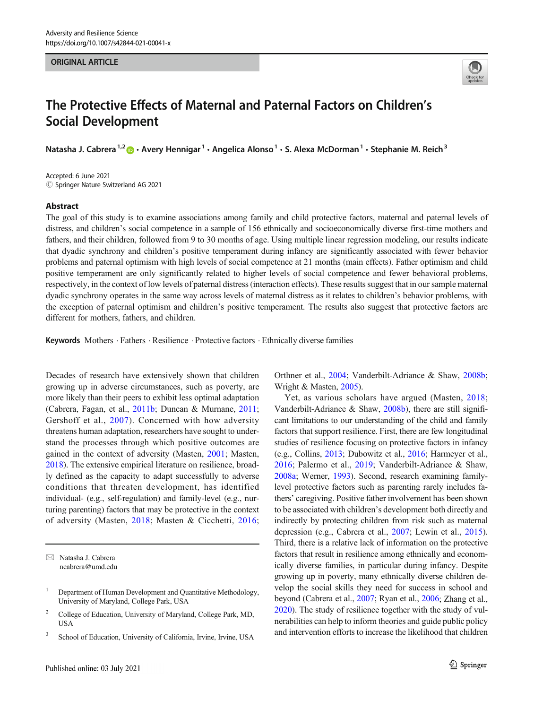#### **ORIGINAL ARTICLE** ORIGINAL ARTICLE



# The Protective Effects of Maternal and Paternal Factors on Children's Social Development

Natasha J. Cabrera<sup>1,2</sup>  $\bullet$  • Avery Hennigar<sup>1</sup> • Angelica Alonso<sup>1</sup> • S. Alexa McDorman<sup>1</sup> • Stephanie M. Reich<sup>3</sup>

Accepted: 6 June 2021  $\odot$  Springer Nature Switzerland AG 2021

#### Abstract

The goal of this study is to examine associations among family and child protective factors, maternal and paternal levels of distress, and children's social competence in a sample of 156 ethnically and socioeconomically diverse first-time mothers and fathers, and their children, followed from 9 to 30 months of age. Using multiple linear regression modeling, our results indicate that dyadic synchrony and children's positive temperament during infancy are significantly associated with fewer behavior problems and paternal optimism with high levels of social competence at 21 months (main effects). Father optimism and child positive temperament are only significantly related to higher levels of social competence and fewer behavioral problems, respectively, in the context of low levels of paternal distress (interaction effects). These results suggest that in our sample maternal dyadic synchrony operates in the same way across levels of maternal distress as it relates to children's behavior problems, with the exception of paternal optimism and children's positive temperament. The results also suggest that protective factors are different for mothers, fathers, and children.

Keywords Mothers · Fathers · Resilience · Protective factors · Ethnically diverse families

Decades of research have extensively shown that children growing up in adverse circumstances, such as poverty, are more likely than their peers to exhibit less optimal adaptation (Cabrera, Fagan, et al., [2011b;](#page-10-0) Duncan & Murnane, [2011](#page-11-0); Gershoff et al., [2007\)](#page-11-0). Concerned with how adversity threatens human adaptation, researchers have sought to understand the processes through which positive outcomes are gained in the context of adversity (Masten, [2001](#page-12-0); Masten, [2018\)](#page-12-0). The extensive empirical literature on resilience, broadly defined as the capacity to adapt successfully to adverse conditions that threaten development, has identified individual- (e.g., self-regulation) and family-level (e.g., nurturing parenting) factors that may be protective in the context of adversity (Masten, [2018;](#page-12-0) Masten & Cicchetti, [2016](#page-12-0);

 $\boxtimes$  Natasha J. Cabrera [ncabrera@umd.edu](mailto:ncabrera@umd.edu) Orthner et al., [2004](#page-12-0); Vanderbilt-Adriance & Shaw, [2008b;](#page-13-0) Wright & Masten, [2005\)](#page-13-0).

Yet, as various scholars have argued (Masten, [2018;](#page-12-0) Vanderbilt-Adriance & Shaw, [2008b](#page-13-0)), there are still significant limitations to our understanding of the child and family factors that support resilience. First, there are few longitudinal studies of resilience focusing on protective factors in infancy (e.g., Collins, [2013](#page-11-0); Dubowitz et al., [2016](#page-11-0); Harmeyer et al., [2016](#page-11-0); Palermo et al., [2019](#page-12-0); Vanderbilt-Adriance & Shaw, [2008a](#page-13-0); Werner, [1993](#page-13-0)). Second, research examining familylevel protective factors such as parenting rarely includes fathers' caregiving. Positive father involvement has been shown to be associated with children's development both directly and indirectly by protecting children from risk such as maternal depression (e.g., Cabrera et al., [2007;](#page-10-0) Lewin et al., [2015\)](#page-11-0). Third, there is a relative lack of information on the protective factors that result in resilience among ethnically and economically diverse families, in particular during infancy. Despite growing up in poverty, many ethnically diverse children develop the social skills they need for success in school and beyond (Cabrera et al., [2007;](#page-10-0) Ryan et al., [2006;](#page-12-0) Zhang et al., [2020\)](#page-13-0). The study of resilience together with the study of vulnerabilities can help to inform theories and guide public policy and intervention efforts to increase the likelihood that children

<sup>1</sup> Department of Human Development and Quantitative Methodology, University of Maryland, College Park, USA

<sup>2</sup> College of Education, University of Maryland, College Park, MD, **USA** 

<sup>&</sup>lt;sup>3</sup> School of Education, University of California, Irvine, Irvine, USA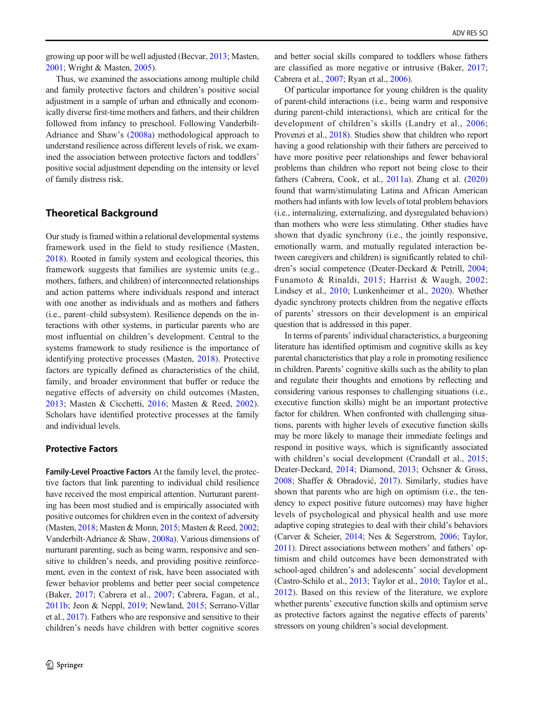growing up poor will be well adjusted (Becvar, [2013](#page-10-0); Masten, [2001;](#page-12-0) Wright & Masten, [2005](#page-13-0)).

Thus, we examined the associations among multiple child and family protective factors and children's positive social adjustment in a sample of urban and ethnically and economically diverse first-time mothers and fathers, and their children followed from infancy to preschool. Following Vanderbilt-Adriance and Shaw's ([2008a](#page-13-0)) methodological approach to understand resilience across different levels of risk, we examined the association between protective factors and toddlers' positive social adjustment depending on the intensity or level of family distress risk.

# Theoretical Background

Our study is framed within a relational developmental systems framework used in the field to study resilience (Masten, [2018\)](#page-12-0). Rooted in family system and ecological theories, this framework suggests that families are systemic units (e.g., mothers, fathers, and children) of interconnected relationships and action patterns where individuals respond and interact with one another as individuals and as mothers and fathers (i.e., parent–child subsystem). Resilience depends on the interactions with other systems, in particular parents who are most influential on children's development. Central to the systems framework to study resilience is the importance of identifying protective processes (Masten, [2018](#page-12-0)). Protective factors are typically defined as characteristics of the child, family, and broader environment that buffer or reduce the negative effects of adversity on child outcomes (Masten, [2013](#page-12-0); Masten & Cicchetti, [2016;](#page-12-0) Masten & Reed, [2002](#page-12-0)). Scholars have identified protective processes at the family and individual levels.

## Protective Factors

Family-Level Proactive Factors At the family level, the protective factors that link parenting to individual child resilience have received the most empirical attention. Nurturant parenting has been most studied and is empirically associated with positive outcomes for children even in the context of adversity (Masten, [2018;](#page-12-0) Masten & Monn, [2015](#page-12-0); Masten & Reed, [2002](#page-12-0); Vanderbilt-Adriance & Shaw, [2008a](#page-13-0)). Various dimensions of nurturant parenting, such as being warm, responsive and sensitive to children's needs, and providing positive reinforcement, even in the context of risk, have been associated with fewer behavior problems and better peer social competence (Baker, [2017;](#page-10-0) Cabrera et al., [2007;](#page-10-0) Cabrera, Fagan, et al., [2011b](#page-10-0); Jeon & Neppl, [2019;](#page-11-0) Newland, [2015;](#page-12-0) Serrano-Villar et al., [2017\)](#page-12-0). Fathers who are responsive and sensitive to their children's needs have children with better cognitive scores

and better social skills compared to toddlers whose fathers are classified as more negative or intrusive (Baker, [2017;](#page-10-0) Cabrera et al., [2007;](#page-10-0) Ryan et al., [2006\)](#page-12-0).

Of particular importance for young children is the quality of parent-child interactions (i.e., being warm and responsive during parent-child interactions), which are critical for the development of children's skills (Landry et al., [2006;](#page-11-0) Provenzi et al., [2018](#page-12-0)). Studies show that children who report having a good relationship with their fathers are perceived to have more positive peer relationships and fewer behavioral problems than children who report not being close to their fathers (Cabrera, Cook, et al., [2011a](#page-10-0)). Zhang et al. [\(2020](#page-13-0)) found that warm/stimulating Latina and African American mothers had infants with low levels of total problem behaviors (i.e., internalizing, externalizing, and dysregulated behaviors) than mothers who were less stimulating. Other studies have shown that dyadic synchrony (i.e., the jointly responsive, emotionally warm, and mutually regulated interaction between caregivers and children) is significantly related to children's social competence (Deater-Deckard & Petrill, [2004;](#page-11-0) Funamoto & Rinaldi, [2015;](#page-11-0) Harrist & Waugh, [2002;](#page-11-0) Lindsey et al., [2010;](#page-11-0) Lunkenheimer et al., [2020](#page-12-0)). Whether dyadic synchrony protects children from the negative effects of parents' stressors on their development is an empirical question that is addressed in this paper.

In terms of parents' individual characteristics, a burgeoning literature has identified optimism and cognitive skills as key parental characteristics that play a role in promoting resilience in children. Parents' cognitive skills such as the ability to plan and regulate their thoughts and emotions by reflecting and considering various responses to challenging situations (i.e., executive function skills) might be an important protective factor for children. When confronted with challenging situations, parents with higher levels of executive function skills may be more likely to manage their immediate feelings and respond in positive ways, which is significantly associated with children's social development (Crandall et al., [2015;](#page-11-0) Deater-Deckard, [2014;](#page-11-0) Diamond, [2013](#page-11-0); Ochsner & Gross, [2008;](#page-12-0) Shaffer & Obradović, [2017](#page-12-0)). Similarly, studies have shown that parents who are high on optimism (i.e., the tendency to expect positive future outcomes) may have higher levels of psychological and physical health and use more adaptive coping strategies to deal with their child's behaviors (Carver & Scheier, [2014;](#page-10-0) Nes & Segerstrom, [2006;](#page-12-0) Taylor, [2011\)](#page-13-0). Direct associations between mothers' and fathers' optimism and child outcomes have been demonstrated with school-aged children's and adolescents' social development (Castro-Schilo et al., [2013](#page-11-0); Taylor et al., [2010](#page-13-0); Taylor et al., [2012](#page-13-0)). Based on this review of the literature, we explore whether parents' executive function skills and optimism serve as protective factors against the negative effects of parents' stressors on young children's social development.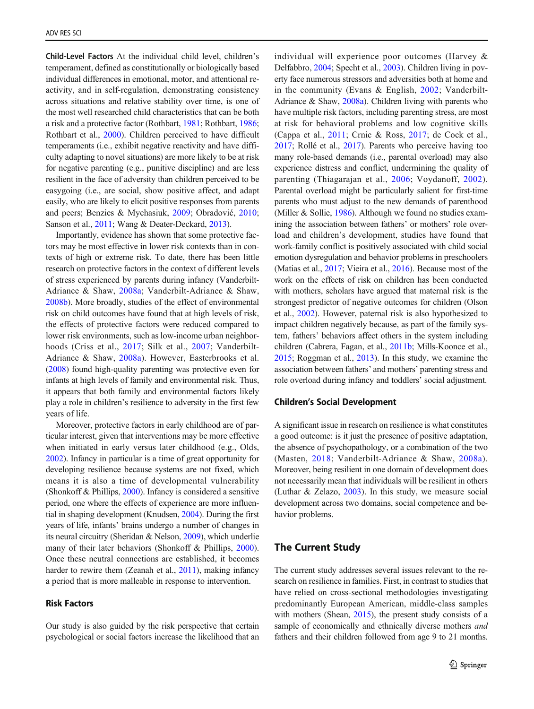Child-Level Factors At the individual child level, children's temperament, defined as constitutionally or biologically based individual differences in emotional, motor, and attentional reactivity, and in self-regulation, demonstrating consistency across situations and relative stability over time, is one of the most well researched child characteristics that can be both a risk and a protective factor (Rothbart, [1981](#page-12-0); Rothbart, [1986](#page-12-0); Rothbart et al., [2000](#page-12-0)). Children perceived to have difficult temperaments (i.e., exhibit negative reactivity and have difficulty adapting to novel situations) are more likely to be at risk for negative parenting (e.g., punitive discipline) and are less resilient in the face of adversity than children perceived to be easygoing (i.e., are social, show positive affect, and adapt easily, who are likely to elicit positive responses from parents and peers; Benzies & Mychasiuk, [2009](#page-10-0); Obradović, [2010](#page-12-0); Sanson et al., [2011](#page-12-0); Wang & Deater-Deckard, [2013](#page-13-0)).

Importantly, evidence has shown that some protective factors may be most effective in lower risk contexts than in contexts of high or extreme risk. To date, there has been little research on protective factors in the context of different levels of stress experienced by parents during infancy (Vanderbilt-Adriance & Shaw, [2008a;](#page-13-0) Vanderbilt-Adriance & Shaw, [2008b](#page-13-0)). More broadly, studies of the effect of environmental risk on child outcomes have found that at high levels of risk, the effects of protective factors were reduced compared to lower risk environments, such as low-income urban neighborhoods (Criss et al., [2017;](#page-11-0) Silk et al., [2007;](#page-12-0) Vanderbilt-Adriance & Shaw, [2008a\)](#page-13-0). However, Easterbrooks et al. [\(2008\)](#page-11-0) found high-quality parenting was protective even for infants at high levels of family and environmental risk. Thus, it appears that both family and environmental factors likely play a role in children's resilience to adversity in the first few years of life.

Moreover, protective factors in early childhood are of particular interest, given that interventions may be more effective when initiated in early versus later childhood (e.g., Olds, [2002\)](#page-12-0). Infancy in particular is a time of great opportunity for developing resilience because systems are not fixed, which means it is also a time of developmental vulnerability (Shonkoff & Phillips, [2000](#page-12-0)). Infancy is considered a sensitive period, one where the effects of experience are more influential in shaping development (Knudsen, [2004](#page-11-0)). During the first years of life, infants' brains undergo a number of changes in its neural circuitry (Sheridan & Nelson, [2009\)](#page-12-0), which underlie many of their later behaviors (Shonkoff & Phillips, [2000](#page-12-0)). Once these neutral connections are established, it becomes harder to rewire them (Zeanah et al., [2011](#page-13-0)), making infancy a period that is more malleable in response to intervention.

# Risk Factors

Our study is also guided by the risk perspective that certain psychological or social factors increase the likelihood that an individual will experience poor outcomes (Harvey & Delfabbro, [2004;](#page-11-0) Specht et al., [2003\)](#page-13-0). Children living in poverty face numerous stressors and adversities both at home and in the community (Evans & English, [2002;](#page-11-0) Vanderbilt-Adriance & Shaw, [2008a\)](#page-13-0). Children living with parents who have multiple risk factors, including parenting stress, are most at risk for behavioral problems and low cognitive skills (Cappa et al., [2011](#page-10-0); Crnic & Ross, [2017](#page-11-0); de Cock et al., [2017;](#page-11-0) Rollé et al., [2017\)](#page-12-0). Parents who perceive having too many role-based demands (i.e., parental overload) may also experience distress and conflict, undermining the quality of parenting (Thiagarajan et al., [2006;](#page-13-0) Voydanoff, [2002](#page-13-0)). Parental overload might be particularly salient for first-time parents who must adjust to the new demands of parenthood (Miller & Sollie, [1986](#page-12-0)). Although we found no studies examining the association between fathers' or mothers' role overload and children's development, studies have found that work-family conflict is positively associated with child social emotion dysregulation and behavior problems in preschoolers (Matias et al., [2017;](#page-12-0) Vieira et al., [2016\)](#page-13-0). Because most of the work on the effects of risk on children has been conducted with mothers, scholars have argued that maternal risk is the strongest predictor of negative outcomes for children (Olson et al., [2002](#page-12-0)). However, paternal risk is also hypothesized to impact children negatively because, as part of the family system, fathers' behaviors affect others in the system including children (Cabrera, Fagan, et al., [2011b](#page-10-0); Mills-Koonce et al., [2015;](#page-12-0) Roggman et al., [2013\)](#page-12-0). In this study, we examine the association between fathers' and mothers' parenting stress and role overload during infancy and toddlers' social adjustment.

#### Children's Social Development

A significant issue in research on resilience is what constitutes a good outcome: is it just the presence of positive adaptation, the absence of psychopathology, or a combination of the two (Masten, [2018](#page-12-0); Vanderbilt-Adriance & Shaw, [2008a](#page-13-0)). Moreover, being resilient in one domain of development does not necessarily mean that individuals will be resilient in others (Luthar & Zelazo, [2003](#page-12-0)). In this study, we measure social development across two domains, social competence and behavior problems.

# The Current Study

The current study addresses several issues relevant to the research on resilience in families. First, in contrast to studies that have relied on cross-sectional methodologies investigating predominantly European American, middle-class samples with mothers (Shean, [2015\)](#page-12-0), the present study consists of a sample of economically and ethnically diverse mothers *and* fathers and their children followed from age 9 to 21 months.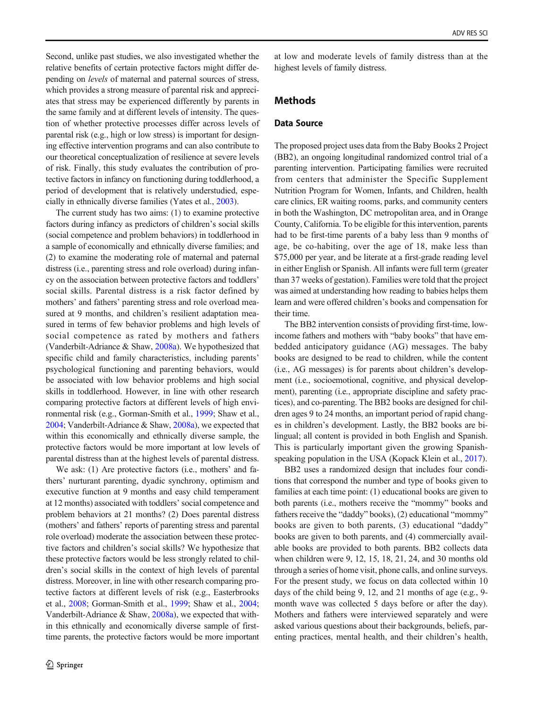Second, unlike past studies, we also investigated whether the relative benefits of certain protective factors might differ depending on levels of maternal and paternal sources of stress, which provides a strong measure of parental risk and appreciates that stress may be experienced differently by parents in the same family and at different levels of intensity. The question of whether protective processes differ across levels of parental risk (e.g., high or low stress) is important for designing effective intervention programs and can also contribute to our theoretical conceptualization of resilience at severe levels of risk. Finally, this study evaluates the contribution of protective factors in infancy on functioning during toddlerhood, a period of development that is relatively understudied, especially in ethnically diverse families (Yates et al., [2003\)](#page-13-0).

The current study has two aims: (1) to examine protective factors during infancy as predictors of children's social skills (social competence and problem behaviors) in toddlerhood in a sample of economically and ethnically diverse families; and (2) to examine the moderating role of maternal and paternal distress (i.e., parenting stress and role overload) during infancy on the association between protective factors and toddlers' social skills. Parental distress is a risk factor defined by mothers' and fathers' parenting stress and role overload measured at 9 months, and children's resilient adaptation measured in terms of few behavior problems and high levels of social competence as rated by mothers and fathers (Vanderbilt-Adriance & Shaw, [2008a\)](#page-13-0). We hypothesized that specific child and family characteristics, including parents' psychological functioning and parenting behaviors, would be associated with low behavior problems and high social skills in toddlerhood. However, in line with other research comparing protective factors at different levels of high environmental risk (e.g., Gorman-Smith et al., [1999;](#page-11-0) Shaw et al., [2004;](#page-12-0) Vanderbilt-Adriance & Shaw, [2008a](#page-13-0)), we expected that within this economically and ethnically diverse sample, the protective factors would be more important at low levels of parental distress than at the highest levels of parental distress.

We ask: (1) Are protective factors (i.e., mothers' and fathers' nurturant parenting, dyadic synchrony, optimism and executive function at 9 months and easy child temperament at 12 months) associated with toddlers' social competence and problem behaviors at 21 months? (2) Does parental distress (mothers' and fathers' reports of parenting stress and parental role overload) moderate the association between these protective factors and children's social skills? We hypothesize that these protective factors would be less strongly related to children's social skills in the context of high levels of parental distress. Moreover, in line with other research comparing protective factors at different levels of risk (e.g., Easterbrooks et al., [2008](#page-11-0); Gorman-Smith et al., [1999;](#page-11-0) Shaw et al., [2004](#page-12-0); Vanderbilt-Adriance & Shaw, [2008a](#page-13-0)), we expected that within this ethnically and economically diverse sample of firsttime parents, the protective factors would be more important

at low and moderate levels of family distress than at the highest levels of family distress.

# Methods

# Data Source

The proposed project uses data from the Baby Books 2 Project (BB2), an ongoing longitudinal randomized control trial of a parenting intervention. Participating families were recruited from centers that administer the Specific Supplement Nutrition Program for Women, Infants, and Children, health care clinics, ER waiting rooms, parks, and community centers in both the Washington, DC metropolitan area, and in Orange County, California. To be eligible for this intervention, parents had to be first-time parents of a baby less than 9 months of age, be co-habiting, over the age of 18, make less than \$75,000 per year, and be literate at a first-grade reading level in either English or Spanish. All infants were full term (greater than 37 weeks of gestation). Families were told that the project was aimed at understanding how reading to babies helps them learn and were offered children's books and compensation for their time.

The BB2 intervention consists of providing first-time, lowincome fathers and mothers with "baby books" that have embedded anticipatory guidance (AG) messages. The baby books are designed to be read to children, while the content (i.e., AG messages) is for parents about children's development (i.e., socioemotional, cognitive, and physical development), parenting (i.e., appropriate discipline and safety practices), and co-parenting. The BB2 books are designed for children ages 9 to 24 months, an important period of rapid changes in children's development. Lastly, the BB2 books are bilingual; all content is provided in both English and Spanish. This is particularly important given the growing Spanish-speaking population in the USA (Kopack Klein et al., [2017](#page-11-0)).

BB2 uses a randomized design that includes four conditions that correspond the number and type of books given to families at each time point: (1) educational books are given to both parents (i.e., mothers receive the "mommy" books and fathers receive the "daddy" books), (2) educational "mommy" books are given to both parents, (3) educational "daddy" books are given to both parents, and (4) commercially available books are provided to both parents. BB2 collects data when children were 9, 12, 15, 18, 21, 24, and 30 months old through a series of home visit, phone calls, and online surveys. For the present study, we focus on data collected within 10 days of the child being 9, 12, and 21 months of age (e.g., 9 month wave was collected 5 days before or after the day). Mothers and fathers were interviewed separately and were asked various questions about their backgrounds, beliefs, parenting practices, mental health, and their children's health,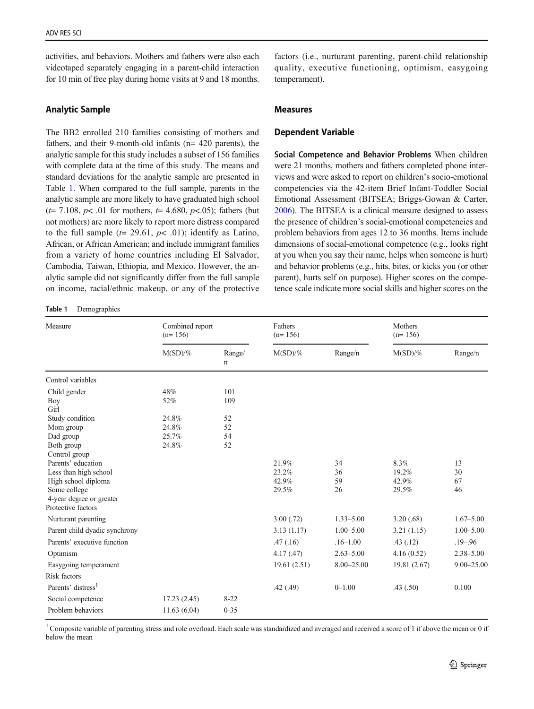<span id="page-4-0"></span>activities, and behaviors. Mothers and fathers were also each videotaped separately engaging in a parent-child interaction for 10 min of free play during home visits at 9 and 18 months.

# Analytic Sample

The BB2 enrolled 210 families consisting of mothers and fathers, and their 9-month-old infants (n= 420 parents), the analytic sample for this study includes a subset of 156 families with complete data at the time of this study. The means and standard deviations for the analytic sample are presented in Table 1. When compared to the full sample, parents in the analytic sample are more likely to have graduated high school ( $t= 7.108$ ,  $p< .01$  for mothers,  $t= 4.680$ ,  $p< .05$ ); fathers (but not mothers) are more likely to report more distress compared to the full sample  $(t= 29.61, p< .01)$ ; identify as Latino, African, or African American; and include immigrant families from a variety of home countries including El Salvador, Cambodia, Taiwan, Ethiopia, and Mexico. However, the analytic sample did not significantly differ from the full sample on income, racial/ethnic makeup, or any of the protective

#### Table 1 Demographics

factors (i.e., nurturant parenting, parent-child relationship quality, executive functioning, optimism, easygoing temperament).

## Measures

## Dependent Variable

Social Competence and Behavior Problems When children were 21 months, mothers and fathers completed phone interviews and were asked to report on children's socio-emotional competencies via the 42-item Brief Infant-Toddler Social Emotional Assessment (BITSEA; Briggs-Gowan & Carter, [2006\)](#page-10-0). The BITSEA is a clinical measure designed to assess the presence of children's social-emotional competencies and problem behaviors from ages 12 to 36 months. Items include dimensions of social-emotional competence (e.g., looks right at you when you say their name, helps when someone is hurt) and behavior problems (e.g., hits, bites, or kicks you (or other parent), hurts self on purpose). Higher scores on the competence scale indicate more social skills and higher scores on the

| Measure                                                                                                                                                                                                                                         | Combined report<br>$(n=156)$                   |                                    | Fathers<br>$(n=156)$             |                      | Mothers<br>$(n=156)$            |                      |
|-------------------------------------------------------------------------------------------------------------------------------------------------------------------------------------------------------------------------------------------------|------------------------------------------------|------------------------------------|----------------------------------|----------------------|---------------------------------|----------------------|
|                                                                                                                                                                                                                                                 | $M(SD)/\%$                                     | Range/<br>n                        | $M(SD)/\%$                       | Range/n              | $M(SD)/\%$                      | Range/n              |
| Control variables                                                                                                                                                                                                                               |                                                |                                    |                                  |                      |                                 |                      |
| Child gender<br>Boy<br>Girl<br>Study condition<br>Mom group<br>Dad group<br>Both group<br>Control group<br>Parents' education<br>Less than high school<br>High school diploma<br>Some college<br>4-year degree or greater<br>Protective factors | 48%<br>52%<br>24.8%<br>24.8%<br>25.7%<br>24.8% | 101<br>109<br>52<br>52<br>54<br>52 | 21.9%<br>23.2%<br>42.9%<br>29.5% | 34<br>36<br>59<br>26 | 8.3%<br>19.2%<br>42.9%<br>29.5% | 13<br>30<br>67<br>46 |
| Nurturant parenting                                                                                                                                                                                                                             |                                                |                                    | 3.00(.72)                        | $1.33 - 5.00$        | 3.20(.68)                       | $1.67 - 5.00$        |
| Parent-child dyadic synchrony                                                                                                                                                                                                                   |                                                |                                    | 3.13(1.17)                       | $1.00 - 5.00$        | 3.21(1.15)                      | $1.00 - 5.00$        |
| Parents' executive function                                                                                                                                                                                                                     |                                                |                                    | .47(0.16)                        | $.16 - 1.00$         | .43(.12)                        | $.19 - .96$          |
| Optimism                                                                                                                                                                                                                                        |                                                |                                    | 4.17(0.47)                       | $2.63 - 5.00$        | 4.16(0.52)                      | $2.38 - 5.00$        |
| Easygoing temperament                                                                                                                                                                                                                           |                                                |                                    | 19.61(2.51)                      | $8.00 - 25.00$       | 19.81 (2.67)                    | $9.00 - 25.00$       |
| <b>Risk factors</b>                                                                                                                                                                                                                             |                                                |                                    |                                  |                      |                                 |                      |
| Parents' distress <sup>1</sup>                                                                                                                                                                                                                  |                                                |                                    | .42(.49)                         | $0 - 1.00$           | .43(.50)                        | 0.100                |
| Social competence                                                                                                                                                                                                                               | 17.23(2.45)                                    | $8 - 22$                           |                                  |                      |                                 |                      |
| Problem behaviors                                                                                                                                                                                                                               | 11.63(6.04)                                    | $0 - 35$                           |                                  |                      |                                 |                      |

<sup>1</sup> Composite variable of parenting stress and role overload. Each scale was standardized and averaged and received a score of 1 if above the mean or 0 if below the mean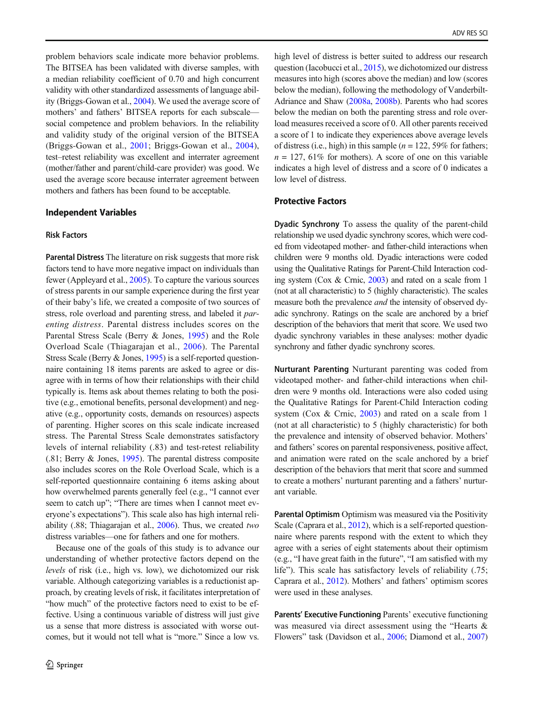problem behaviors scale indicate more behavior problems. The BITSEA has been validated with diverse samples, with a median reliability coefficient of 0.70 and high concurrent validity with other standardized assessments of language ability (Briggs-Gowan et al., [2004\)](#page-10-0). We used the average score of mothers' and fathers' BITSEA reports for each subscale social competence and problem behaviors. In the reliability and validity study of the original version of the BITSEA (Briggs-Gowan et al., [2001](#page-10-0); Briggs-Gowan et al., [2004](#page-10-0)), test–retest reliability was excellent and interrater agreement (mother/father and parent/child-care provider) was good. We used the average score because interrater agreement between mothers and fathers has been found to be acceptable.

#### Independent Variables

## Risk Factors

Parental Distress The literature on risk suggests that more risk factors tend to have more negative impact on individuals than fewer (Appleyard et al., [2005](#page-10-0)). To capture the various sources of stress parents in our sample experience during the first year of their baby's life, we created a composite of two sources of stress, role overload and parenting stress, and labeled it *par*enting distress. Parental distress includes scores on the Parental Stress Scale (Berry & Jones, [1995](#page-10-0)) and the Role Overload Scale (Thiagarajan et al., [2006](#page-13-0)). The Parental Stress Scale (Berry & Jones, [1995\)](#page-10-0) is a self-reported questionnaire containing 18 items parents are asked to agree or disagree with in terms of how their relationships with their child typically is. Items ask about themes relating to both the positive (e.g., emotional benefits, personal development) and negative (e.g., opportunity costs, demands on resources) aspects of parenting. Higher scores on this scale indicate increased stress. The Parental Stress Scale demonstrates satisfactory levels of internal reliability (.83) and test-retest reliability (.81; Berry & Jones, [1995\)](#page-10-0). The parental distress composite also includes scores on the Role Overload Scale, which is a self-reported questionnaire containing 6 items asking about how overwhelmed parents generally feel (e.g., "I cannot ever seem to catch up"; "There are times when I cannot meet everyone's expectations"). This scale also has high internal reliability (.88; Thiagarajan et al., [2006\)](#page-13-0). Thus, we created two distress variables—one for fathers and one for mothers.

Because one of the goals of this study is to advance our understanding of whether protective factors depend on the levels of risk (i.e., high vs. low), we dichotomized our risk variable. Although categorizing variables is a reductionist approach, by creating levels of risk, it facilitates interpretation of "how much" of the protective factors need to exist to be effective. Using a continuous variable of distress will just give us a sense that more distress is associated with worse outcomes, but it would not tell what is "more." Since a low vs.

high level of distress is better suited to address our research question (Iacobucci et al., [2015](#page-11-0)), we dichotomized our distress measures into high (scores above the median) and low (scores below the median), following the methodology of Vanderbilt-Adriance and Shaw [\(2008a](#page-13-0), [2008b](#page-13-0)). Parents who had scores below the median on both the parenting stress and role overload measures received a score of 0. All other parents received a score of 1 to indicate they experiences above average levels of distress (i.e., high) in this sample ( $n = 122, 59\%$  for fathers;  $n = 127, 61\%$  for mothers). A score of one on this variable indicates a high level of distress and a score of 0 indicates a low level of distress.

## Protective Factors

Dyadic Synchrony To assess the quality of the parent-child relationship we used dyadic synchrony scores, which were coded from videotaped mother- and father-child interactions when children were 9 months old. Dyadic interactions were coded using the Qualitative Ratings for Parent-Child Interaction coding system (Cox & Crnic, [2003\)](#page-11-0) and rated on a scale from 1 (not at all characteristic) to 5 (highly characteristic). The scales measure both the prevalence and the intensity of observed dyadic synchrony. Ratings on the scale are anchored by a brief description of the behaviors that merit that score. We used two dyadic synchrony variables in these analyses: mother dyadic synchrony and father dyadic synchrony scores.

Nurturant Parenting Nurturant parenting was coded from videotaped mother- and father-child interactions when children were 9 months old. Interactions were also coded using the Qualitative Ratings for Parent-Child Interaction coding system (Cox & Crnic, [2003\)](#page-11-0) and rated on a scale from 1 (not at all characteristic) to 5 (highly characteristic) for both the prevalence and intensity of observed behavior. Mothers' and fathers' scores on parental responsiveness, positive affect, and animation were rated on the scale anchored by a brief description of the behaviors that merit that score and summed to create a mothers' nurturant parenting and a fathers' nurturant variable.

Parental Optimism Optimism was measured via the Positivity Scale (Caprara et al., [2012\)](#page-10-0), which is a self-reported questionnaire where parents respond with the extent to which they agree with a series of eight statements about their optimism (e.g., "I have great faith in the future", "I am satisfied with my life"). This scale has satisfactory levels of reliability (.75; Caprara et al., [2012](#page-10-0)). Mothers' and fathers' optimism scores were used in these analyses.

Parents' Executive Functioning Parents' executive functioning was measured via direct assessment using the "Hearts & Flowers" task (Davidson et al., [2006](#page-11-0); Diamond et al., [2007](#page-11-0))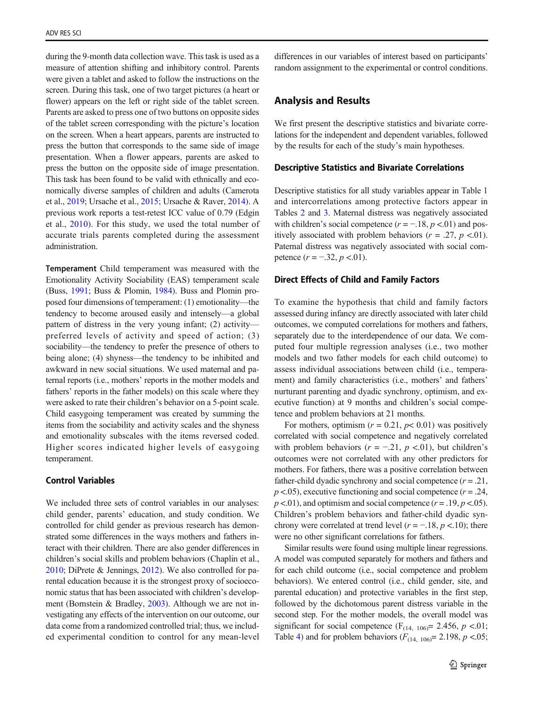during the 9-month data collection wave. This task is used as a measure of attention shifting and inhibitory control. Parents were given a tablet and asked to follow the instructions on the screen. During this task, one of two target pictures (a heart or flower) appears on the left or right side of the tablet screen. Parents are asked to press one of two buttons on opposite sides of the tablet screen corresponding with the picture's location on the screen. When a heart appears, parents are instructed to press the button that corresponds to the same side of image presentation. When a flower appears, parents are asked to press the button on the opposite side of image presentation. This task has been found to be valid with ethnically and economically diverse samples of children and adults (Camerota et al., [2019](#page-10-0); Ursache et al., [2015;](#page-13-0) Ursache & Raver, [2014\)](#page-13-0). A previous work reports a test-retest ICC value of 0.79 (Edgin et al., [2010](#page-11-0)). For this study, we used the total number of accurate trials parents completed during the assessment administration.

Temperament Child temperament was measured with the Emotionality Activity Sociability (EAS) temperament scale (Buss, [1991;](#page-10-0) Buss & Plomin, [1984](#page-10-0)). Buss and Plomin proposed four dimensions of temperament: (1) emotionality—the tendency to become aroused easily and intensely—a global pattern of distress in the very young infant; (2) activity preferred levels of activity and speed of action; (3) sociability—the tendency to prefer the presence of others to being alone; (4) shyness—the tendency to be inhibited and awkward in new social situations. We used maternal and paternal reports (i.e., mothers' reports in the mother models and fathers' reports in the father models) on this scale where they were asked to rate their children's behavior on a 5-point scale. Child easygoing temperament was created by summing the items from the sociability and activity scales and the shyness and emotionality subscales with the items reversed coded. Higher scores indicated higher levels of easygoing temperament.

# Control Variables

We included three sets of control variables in our analyses: child gender, parents' education, and study condition. We controlled for child gender as previous research has demonstrated some differences in the ways mothers and fathers interact with their children. There are also gender differences in children's social skills and problem behaviors (Chaplin et al., [2010;](#page-11-0) DiPrete & Jennings, [2012\)](#page-11-0). We also controlled for parental education because it is the strongest proxy of socioeconomic status that has been associated with children's development (Bornstein & Bradley, [2003](#page-10-0)). Although we are not investigating any effects of the intervention on our outcome, our data come from a randomized controlled trial; thus, we included experimental condition to control for any mean-level

differences in our variables of interest based on participants' random assignment to the experimental or control conditions.

# Analysis and Results

We first present the descriptive statistics and bivariate correlations for the independent and dependent variables, followed by the results for each of the study's main hypotheses.

#### Descriptive Statistics and Bivariate Correlations

Descriptive statistics for all study variables appear in Table [1](#page-4-0) and intercorrelations among protective factors appear in Tables [2](#page-7-0) and [3](#page-7-0). Maternal distress was negatively associated with children's social competence  $(r = -18, p < 01)$  and positively associated with problem behaviors ( $r = .27$ ,  $p < .01$ ). Paternal distress was negatively associated with social competence  $(r = -.32, p < .01)$ .

## Direct Effects of Child and Family Factors

To examine the hypothesis that child and family factors assessed during infancy are directly associated with later child outcomes, we computed correlations for mothers and fathers, separately due to the interdependence of our data. We computed four multiple regression analyses (i.e., two mother models and two father models for each child outcome) to assess individual associations between child (i.e., temperament) and family characteristics (i.e., mothers' and fathers' nurturant parenting and dyadic synchrony, optimism, and executive function) at 9 months and children's social competence and problem behaviors at 21 months.

For mothers, optimism ( $r = 0.21$ ,  $p < 0.01$ ) was positively correlated with social competence and negatively correlated with problem behaviors ( $r = -.21$ ,  $p < .01$ ), but children's outcomes were not correlated with any other predictors for mothers. For fathers, there was a positive correlation between father-child dyadic synchrony and social competence  $(r = .21, )$  $p < .05$ ), executive functioning and social competence ( $r = .24$ ,  $p < .01$ ), and optimism and social competence ( $r = .19$ ,  $p < .05$ ). Children's problem behaviors and father-child dyadic synchrony were correlated at trend level ( $r = -18$ ,  $p < 10$ ); there were no other significant correlations for fathers.

Similar results were found using multiple linear regressions. A model was computed separately for mothers and fathers and for each child outcome (i.e., social competence and problem behaviors). We entered control (i.e., child gender, site, and parental education) and protective variables in the first step, followed by the dichotomous parent distress variable in the second step. For the mother models, the overall model was significant for social competence  $(F<sub>(14, 106)</sub> = 2.456, p < .01;$ Table [4](#page-8-0)) and for problem behaviors ( $F_{(14, 106)} = 2.198$ ,  $p < 0.05$ ;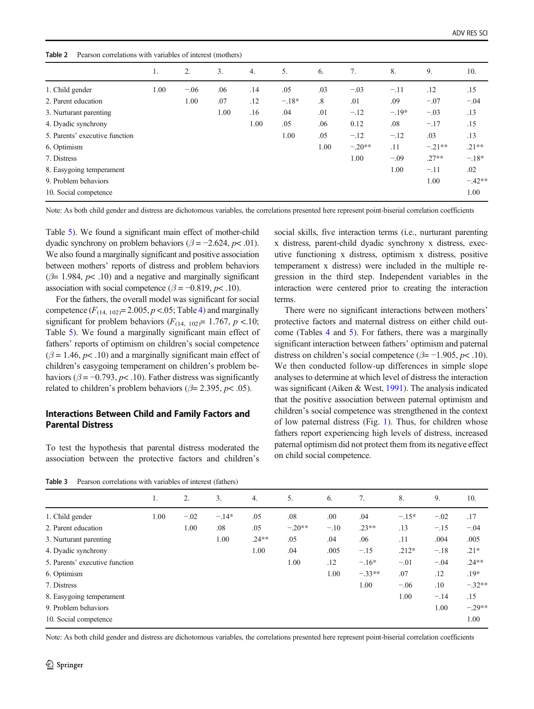<span id="page-7-0"></span>

| Table 2<br>Pearson correlations with variables of interest (mothers) |  |  |  |  |
|----------------------------------------------------------------------|--|--|--|--|
|----------------------------------------------------------------------|--|--|--|--|

|                                | 1.   | 2.     | 3.   | 4.   | 5.      | 6.                     | 7.       | 8.      | 9.       | 10.      |
|--------------------------------|------|--------|------|------|---------|------------------------|----------|---------|----------|----------|
| 1. Child gender                | 1.00 | $-.06$ | .06  | .14  | .05     | .03                    | $-.03$   | $-.11$  | .12      | .15      |
| 2. Parent education            |      | 1.00   | .07  | .12  | $-.18*$ | $\cdot$ <sup>8</sup> . | .01      | .09     | $-.07$   | $-.04$   |
| 3. Nurturant parenting         |      |        | 1.00 | .16  | .04     | .01                    | $-.12$   | $-.19*$ | $-.03$   | .13      |
| 4. Dyadic synchrony            |      |        |      | 1.00 | .05     | .06                    | 0.12     | .08     | $-.17$   | .15      |
| 5. Parents' executive function |      |        |      |      | 1.00    | .05                    | $-.12$   | $-.12$  | .03      | .13      |
| 6. Optimism                    |      |        |      |      |         | 1.00                   | $-.20**$ | .11     | $-.21**$ | $.21**$  |
| 7. Distress                    |      |        |      |      |         |                        | 1.00     | $-.09$  | $.27**$  | $-.18*$  |
| 8. Easygoing temperament       |      |        |      |      |         |                        |          | 1.00    | $-.11$   | .02      |
| 9. Problem behaviors           |      |        |      |      |         |                        |          |         | 1.00     | $-.42**$ |
| 10. Social competence          |      |        |      |      |         |                        |          |         |          | 1.00     |

Note: As both child gender and distress are dichotomous variables, the correlations presented here represent point-biserial correlation coefficients

Table [5\)](#page-8-0). We found a significant main effect of mother-child dyadic synchrony on problem behaviors ( $\beta$  = -2.624, p< .01). We also found a marginally significant and positive association between mothers' reports of distress and problem behaviors  $(\beta= 1.984, p< .10)$  and a negative and marginally significant association with social competence ( $\beta = -0.819$ ,  $p < .10$ ).

For the fathers, the overall model was significant for social competence  $(F_{(14, 102)} = 2.005, p < .05;$  $(F_{(14, 102)} = 2.005, p < .05;$  $(F_{(14, 102)} = 2.005, p < .05;$  Table 4) and marginally significant for problem behaviors  $(F_{(14, 102)} = 1.767, p < 10;$ Table [5\)](#page-8-0). We found a marginally significant main effect of fathers' reports of optimism on children's social competence  $(\beta = 1.46, p < .10)$  and a marginally significant main effect of children's easygoing temperament on children's problem behaviors ( $\beta = -0.793$ ,  $p < 0.10$ ). Father distress was significantly related to children's problem behaviors ( $\beta$ = 2.395,  $p$ < .05).

## Interactions Between Child and Family Factors and Parental Distress

To test the hypothesis that parental distress moderated the association between the protective factors and children's

Table 3 Pearson correlations with variables of interest (fathers)

social skills, five interaction terms (i.e., nurturant parenting x distress, parent-child dyadic synchrony x distress, executive functioning x distress, optimism x distress, positive temperament x distress) were included in the multiple regression in the third step. Independent variables in the interaction were centered prior to creating the interaction terms.

There were no significant interactions between mothers' protective factors and maternal distress on either child outcome (Tables [4](#page-8-0) and [5\)](#page-8-0). For fathers, there was a marginally significant interaction between fathers' optimism and paternal distress on children's social competence ( $\beta$ = -1.905,  $p$ < .10). We then conducted follow-up differences in simple slope analyses to determine at which level of distress the interaction was significant (Aiken & West, [1991](#page-10-0)). The analysis indicated that the positive association between paternal optimism and children's social competence was strengthened in the context of low paternal distress (Fig. [1\)](#page-8-0). Thus, for children whose fathers report experiencing high levels of distress, increased paternal optimism did not protect them from its negative effect on child social competence.

|                                | 1.   | 2.     | 3.      | 4.      | 5.       | 6.     | 7.       | 8.      | 9.     | 10.      |
|--------------------------------|------|--------|---------|---------|----------|--------|----------|---------|--------|----------|
| 1. Child gender                | 1.00 | $-.02$ | $-.14*$ | .05     | .08      | .00    | .04      | $-.15*$ | $-.02$ | .17      |
| 2. Parent education            |      | 1.00   | .08     | .05     | $-.20**$ | $-.10$ | $.23**$  | .13     | $-.15$ | $-.04$   |
| 3. Nurturant parenting         |      |        | 1.00    | $.24**$ | .05      | .04    | .06      | .11     | .004   | .005     |
| 4. Dyadic synchrony            |      |        |         | 1.00    | .04      | .005   | $-.15$   | $.212*$ | $-.18$ | $.21*$   |
| 5. Parents' executive function |      |        |         |         | 1.00     | .12    | $-.16*$  | $-.01$  | $-.04$ | $.24**$  |
| 6. Optimism                    |      |        |         |         |          | 1.00   | $-.33**$ | .07     | .12    | $.19*$   |
| 7. Distress                    |      |        |         |         |          |        | 1.00     | $-.06$  | .10    | $-.32**$ |
| 8. Easygoing temperament       |      |        |         |         |          |        |          | 1.00    | $-.14$ | .15      |
| 9. Problem behaviors           |      |        |         |         |          |        |          |         | 1.00   | $-.29**$ |
| 10. Social competence          |      |        |         |         |          |        |          |         |        | 1.00     |

Note: As both child gender and distress are dichotomous variables, the correlations presented here represent point-biserial correlation coefficients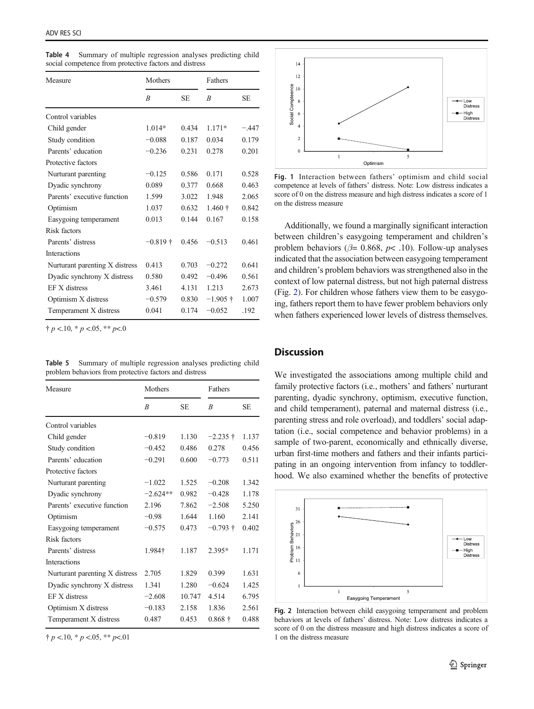| Measure                        | Mothers    |           | Fathers    |         |
|--------------------------------|------------|-----------|------------|---------|
|                                | R          | <b>SE</b> | R          | SE.     |
| Control variables              |            |           |            |         |
| Child gender                   | $1.014*$   | 0.434     | $1.171*$   | $-.447$ |
| Study condition                | $-0.088$   | 0.187     | 0.034      | 0.179   |
| Parents' education             | $-0.236$   | 0.231     | 0.278      | 0.201   |
| Protective factors             |            |           |            |         |
| Nurturant parenting            | $-0.125$   | 0.586     | 0.171      | 0.528   |
| Dyadic synchrony               | 0.089      | 0.377     | 0.668      | 0.463   |
| Parents' executive function    | 1.599      | 3.022     | 1.948      | 2.065   |
| Optimism                       | 1.037      | 0.632     | $1.460 +$  | 0.842   |
| Easygoing temperament          | 0.013      | 0.144     | 0.167      | 0.158   |
| Risk factors                   |            |           |            |         |
| Parents' distress              | $-0.819 +$ | 0.456     | $-0.513$   | 0.461   |
| <b>Interactions</b>            |            |           |            |         |
| Nurturant parenting X distress | 0.413      | 0.703     | $-0.272$   | 0.641   |
| Dyadic synchrony X distress    | 0.580      | 0.492     | $-0.496$   | 0.561   |
| EF X distress                  | 3.461      | 4.131     | 1.213      | 2.673   |
| Optimism X distress            | $-0.579$   | 0.830     | $-1.905 +$ | 1.007   |
| Temperament X distress         | 0.041      | 0.174     | $-0.052$   | .192    |

<span id="page-8-0"></span>Table 4 Summary of multiple regression analyses predicting child social competence from protective factors and distress

 $\dagger p$  <.10,  $* p$  <.05,  $** p$ <.0

Table 5 Summary of multiple regression analyses predicting child problem behaviors from protective factors and distress

| Measure                        | Mothers    |           | Fathers        |           |  |
|--------------------------------|------------|-----------|----------------|-----------|--|
|                                | B          | <b>SE</b> | R              | <b>SE</b> |  |
| Control variables              |            |           |                |           |  |
| Child gender                   | $-0.819$   | 1.130     | $-2.235+$      | 1.137     |  |
| Study condition                | $-0.452$   | 0.486     | 0.278          | 0.456     |  |
| Parents' education             | $-0.291$   | 0.600     | $-0.773$       | 0.511     |  |
| Protective factors             |            |           |                |           |  |
| Nurturant parenting            | $-1.022$   | 1.525     | $-0.208$       | 1.342     |  |
| Dyadic synchrony               | $-2.624**$ | 0.982     | $-0.428$       | 1.178     |  |
| Parents' executive function    | 2.196      | 7.862     | $-2.508$       | 5.250     |  |
| Optimism                       | $-0.98$    | 1.644     | 1.160          | 2.141     |  |
| Easygoing temperament          | $-0.575$   | 0.473     | $-0.793 +$     | 0.402     |  |
| Risk factors                   |            |           |                |           |  |
| Parents' distress              | 1.984†     | 1.187     | 2.395*         | 1.171     |  |
| <b>Interactions</b>            |            |           |                |           |  |
| Nurturant parenting X distress | 2.705      | 1.829     | 0.399          | 1.631     |  |
| Dyadic synchrony X distress    | 1.341      | 1.280     | $-0.624$       | 1.425     |  |
| EF X distress                  | $-2.608$   | 10.747    | 4.514          | 6.795     |  |
| Optimism X distress            | $-0.183$   | 2.158     | 1.836          | 2.561     |  |
| Temperament X distress         | 0.487      | 0.453     | $0.868\dagger$ | 0.488     |  |

 $\dagger p$  <.10,  $* p$  <.05,  $** p$  <.01



Fig. 1 Interaction between fathers' optimism and child social competence at levels of fathers' distress. Note: Low distress indicates a score of 0 on the distress measure and high distress indicates a score of 1 on the distress measure

Additionally, we found a marginally significant interaction between children's easygoing temperament and children's problem behaviors ( $\beta$ = 0.868,  $p$ < .10). Follow-up analyses indicated that the association between easygoing temperament and children's problem behaviors was strengthened also in the context of low paternal distress, but not high paternal distress (Fig. 2). For children whose fathers view them to be easygoing, fathers report them to have fewer problem behaviors only when fathers experienced lower levels of distress themselves.

# **Discussion**

We investigated the associations among multiple child and family protective factors (i.e., mothers' and fathers' nurturant parenting, dyadic synchrony, optimism, executive function, and child temperament), paternal and maternal distress (i.e., parenting stress and role overload), and toddlers' social adaptation (i.e., social competence and behavior problems) in a sample of two-parent, economically and ethnically diverse, urban first-time mothers and fathers and their infants participating in an ongoing intervention from infancy to toddlerhood. We also examined whether the benefits of protective



Fig. 2 Interaction between child easygoing temperament and problem behaviors at levels of fathers' distress. Note: Low distress indicates a score of 0 on the distress measure and high distress indicates a score of 1 on the distress measure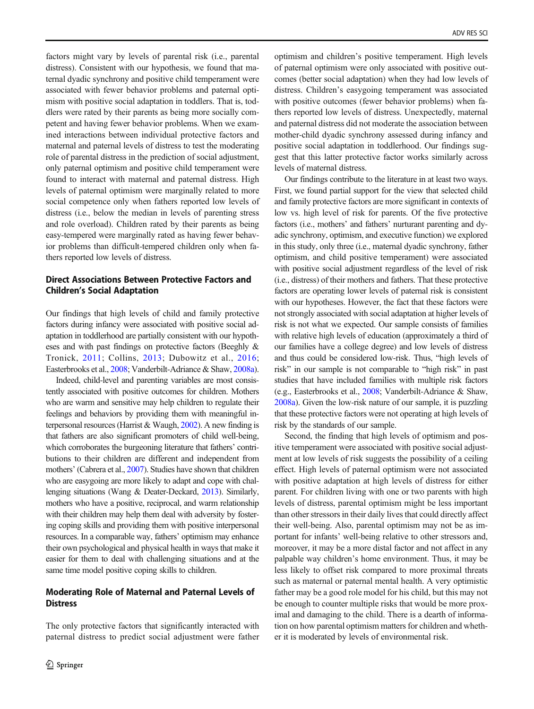factors might vary by levels of parental risk (i.e., parental distress). Consistent with our hypothesis, we found that maternal dyadic synchrony and positive child temperament were associated with fewer behavior problems and paternal optimism with positive social adaptation in toddlers. That is, toddlers were rated by their parents as being more socially competent and having fewer behavior problems. When we examined interactions between individual protective factors and maternal and paternal levels of distress to test the moderating role of parental distress in the prediction of social adjustment, only paternal optimism and positive child temperament were found to interact with maternal and paternal distress. High levels of paternal optimism were marginally related to more social competence only when fathers reported low levels of distress (i.e., below the median in levels of parenting stress and role overload). Children rated by their parents as being easy-tempered were marginally rated as having fewer behavior problems than difficult-tempered children only when fathers reported low levels of distress.

# Direct Associations Between Protective Factors and Children's Social Adaptation

Our findings that high levels of child and family protective factors during infancy were associated with positive social adaptation in toddlerhood are partially consistent with our hypotheses and with past findings on protective factors (Beeghly & Tronick, [2011;](#page-10-0) Collins, [2013](#page-11-0); Dubowitz et al., [2016](#page-11-0); Easterbrooks et al., [2008](#page-11-0); Vanderbilt-Adriance & Shaw, [2008a\)](#page-13-0).

Indeed, child-level and parenting variables are most consistently associated with positive outcomes for children. Mothers who are warm and sensitive may help children to regulate their feelings and behaviors by providing them with meaningful interpersonal resources (Harrist & Waugh, [2002](#page-11-0)). A new finding is that fathers are also significant promoters of child well-being, which corroborates the burgeoning literature that fathers' contributions to their children are different and independent from mothers' (Cabrera et al., [2007](#page-10-0)). Studies have shown that children who are easygoing are more likely to adapt and cope with challenging situations (Wang & Deater-Deckard, [2013\)](#page-13-0). Similarly, mothers who have a positive, reciprocal, and warm relationship with their children may help them deal with adversity by fostering coping skills and providing them with positive interpersonal resources. In a comparable way, fathers' optimism may enhance their own psychological and physical health in ways that make it easier for them to deal with challenging situations and at the same time model positive coping skills to children.

# Moderating Role of Maternal and Paternal Levels of **Distress**

The only protective factors that significantly interacted with paternal distress to predict social adjustment were father optimism and children's positive temperament. High levels of paternal optimism were only associated with positive outcomes (better social adaptation) when they had low levels of distress. Children's easygoing temperament was associated with positive outcomes (fewer behavior problems) when fathers reported low levels of distress. Unexpectedly, maternal and paternal distress did not moderate the association between mother-child dyadic synchrony assessed during infancy and positive social adaptation in toddlerhood. Our findings suggest that this latter protective factor works similarly across levels of maternal distress.

Our findings contribute to the literature in at least two ways. First, we found partial support for the view that selected child and family protective factors are more significant in contexts of low vs. high level of risk for parents. Of the five protective factors (i.e., mothers' and fathers' nurturant parenting and dyadic synchrony, optimism, and executive function) we explored in this study, only three (i.e., maternal dyadic synchrony, father optimism, and child positive temperament) were associated with positive social adjustment regardless of the level of risk (i.e., distress) of their mothers and fathers. That these protective factors are operating lower levels of paternal risk is consistent with our hypotheses. However, the fact that these factors were not strongly associated with social adaptation at higher levels of risk is not what we expected. Our sample consists of families with relative high levels of education (approximately a third of our families have a college degree) and low levels of distress and thus could be considered low-risk. Thus, "high levels of risk" in our sample is not comparable to "high risk" in past studies that have included families with multiple risk factors (e.g., Easterbrooks et al., [2008](#page-11-0); Vanderbilt-Adriance & Shaw, [2008a](#page-13-0)). Given the low-risk nature of our sample, it is puzzling that these protective factors were not operating at high levels of risk by the standards of our sample.

Second, the finding that high levels of optimism and positive temperament were associated with positive social adjustment at low levels of risk suggests the possibility of a ceiling effect. High levels of paternal optimism were not associated with positive adaptation at high levels of distress for either parent. For children living with one or two parents with high levels of distress, parental optimism might be less important than other stressors in their daily lives that could directly affect their well-being. Also, parental optimism may not be as important for infants' well-being relative to other stressors and, moreover, it may be a more distal factor and not affect in any palpable way children's home environment. Thus, it may be less likely to offset risk compared to more proximal threats such as maternal or paternal mental health. A very optimistic father may be a good role model for his child, but this may not be enough to counter multiple risks that would be more proximal and damaging to the child. There is a dearth of information on how parental optimism matters for children and whether it is moderated by levels of environmental risk.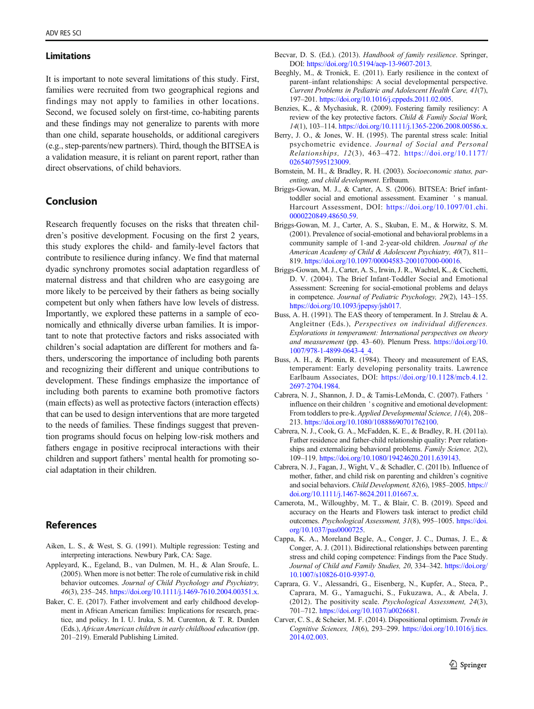#### <span id="page-10-0"></span>Limitations

It is important to note several limitations of this study. First, families were recruited from two geographical regions and findings may not apply to families in other locations. Second, we focused solely on first-time, co-habiting parents and these findings may not generalize to parents with more than one child, separate households, or additional caregivers (e.g., step-parents/new partners). Third, though the BITSEA is a validation measure, it is reliant on parent report, rather than direct observations, of child behaviors.

# Conclusion

Research frequently focuses on the risks that threaten children's positive development. Focusing on the first 2 years, this study explores the child- and family-level factors that contribute to resilience during infancy. We find that maternal dyadic synchrony promotes social adaptation regardless of maternal distress and that children who are easygoing are more likely to be perceived by their fathers as being socially competent but only when fathers have low levels of distress. Importantly, we explored these patterns in a sample of economically and ethnically diverse urban families. It is important to note that protective factors and risks associated with children's social adaptation are different for mothers and fathers, underscoring the importance of including both parents and recognizing their different and unique contributions to development. These findings emphasize the importance of including both parents to examine both promotive factors (main effects) as well as protective factors (interaction effects) that can be used to design interventions that are more targeted to the needs of families. These findings suggest that prevention programs should focus on helping low-risk mothers and fathers engage in positive reciprocal interactions with their children and support fathers' mental health for promoting social adaptation in their children.

# References

- Aiken, L. S., & West, S. G. (1991). Multiple regression: Testing and interpreting interactions. Newbury Park, CA: Sage.
- Appleyard, K., Egeland, B., van Dulmen, M. H., & Alan Sroufe, L. (2005). When more is not better: The role of cumulative risk in child behavior outcomes. Journal of Child Psychology and Psychiatry, 46(3), 235–245. <https://doi.org/10.1111/j.1469-7610.2004.00351.x>.
- Baker, C. E. (2017). Father involvement and early childhood development in African American families: Implications for research, practice, and policy. In I. U. Iruka, S. M. Curenton, & T. R. Durden (Eds.), African American children in early childhood education (pp. 201–219). Emerald Publishing Limited.
- Becvar, D. S. (Ed.). (2013). Handbook of family resilience. Springer, DOI: [https://doi.org/10.5194/acp-13-9607-2013.](https://doi.org/10.5194/acp-13-9607-2013)
- Beeghly, M., & Tronick, E. (2011). Early resilience in the context of parent–infant relationships: A social developmental perspective. Current Problems in Pediatric and Adolescent Health Care, 41(7), 197–201. [https://doi.org/10.1016/j.cppeds.2011.02.005.](https://doi.org/10.1016/j.cppeds.2011.02.005)
- Benzies, K., & Mychasiuk, R. (2009). Fostering family resiliency: A review of the key protective factors. Child & Family Social Work, 14(1), 103–114. <https://doi.org/10.1111/j.1365-2206.2008.00586.x>.
- Berry, J. O., & Jones, W. H. (1995). The parental stress scale: Initial psychometric evidence. Journal of Social and Personal Relationships, 12(3), 463–472. [https://doi.org/10.1177/](https://doi.org/10.1177/0265407595123009) [0265407595123009](https://doi.org/10.1177/0265407595123009).
- Bornstein, M. H., & Bradley, R. H. (2003). Socioeconomic status, parenting, and child development. Erlbaum.
- Briggs-Gowan, M. J., & Carter, A. S. (2006). BITSEA: Brief infanttoddler social and emotional assessment. Examiner ' s manual. Harcourt Assessment, DOI: [https://doi.org/10.1097/01.chi.](https://doi.org/10.1097/01.chi.0000220849.48650.59) [0000220849.48650.59](https://doi.org/10.1097/01.chi.0000220849.48650.59).
- Briggs-Gowan, M. J., Carter, A. S., Skuban, E. M., & Horwitz, S. M. (2001). Prevalence of social-emotional and behavioral problems in a community sample of 1-and 2-year-old children. Journal of the American Academy of Child & Adolescent Psychiatry, 40(7), 811– 819. <https://doi.org/10.1097/00004583-200107000-00016>.
- Briggs-Gowan, M. J., Carter, A. S., Irwin, J. R., Wachtel, K., & Cicchetti, D. V. (2004). The Brief Infant-Toddler Social and Emotional Assessment: Screening for social-emotional problems and delays in competence. Journal of Pediatric Psychology, 29(2), 143–155. [https://doi.org/10.1093/jpepsy/jsh017.](https://doi.org/10.1093/jpepsy/jsh017)
- Buss, A. H. (1991). The EAS theory of temperament. In J. Strelau & A. Angleitner (Eds.), Perspectives on individual differences. Explorations in temperament: International perspectives on theory and measurement (pp. 43–60). Plenum Press. [https://doi.org/10.](https://doi.org/10.1007/978-1-4899-0643-4_4) [1007/978-1-4899-0643-4\\_4](https://doi.org/10.1007/978-1-4899-0643-4_4).
- Buss, A. H., & Plomin, R. (1984). Theory and measurement of EAS, temperament: Early developing personality traits. Lawrence Earlbaum Associates, DOI: [https://doi.org/10.1128/mcb.4.12.](https://doi.org/10.1128/mcb.4.12.2697-2704.1984) [2697-2704.1984](https://doi.org/10.1128/mcb.4.12.2697-2704.1984).
- Cabrera, N. J., Shannon, J. D., & Tamis-LeMonda, C. (2007). Fathers ' influence on their children ' s cognitive and emotional development: From toddlers to pre-k. Applied Developmental Science, 11(4), 208– 213. <https://doi.org/10.1080/10888690701762100>.
- Cabrera, N. J., Cook, G. A., McFadden, K. E., & Bradley, R. H. (2011a). Father residence and father-child relationship quality: Peer relationships and externalizing behavioral problems. Family Science, 2(2), 109–119. [https://doi.org/10.1080/19424620.2011.639143.](https://doi.org/10.1080/19424620.2011.639143)
- Cabrera, N. J., Fagan, J., Wight, V., & Schadler, C. (2011b). Influence of mother, father, and child risk on parenting and children's cognitive and social behaviors. Child Development, 82(6), 1985–2005. [https://](https://doi.org/10.1111/j.1467-8624.2011.01667.x) [doi.org/10.1111/j.1467-8624.2011.01667.x](https://doi.org/10.1111/j.1467-8624.2011.01667.x).
- Camerota, M., Willoughby, M. T., & Blair, C. B. (2019). Speed and accuracy on the Hearts and Flowers task interact to predict child outcomes. Psychological Assessment, 31(8), 995-1005. [https://doi.](https://doi.org/10.1037/pas0000725) [org/10.1037/pas0000725](https://doi.org/10.1037/pas0000725).
- Cappa, K. A., Moreland Begle, A., Conger, J. C., Dumas, J. E., & Conger, A. J. (2011). Bidirectional relationships between parenting stress and child coping competence: Findings from the Pace Study. Journal of Child and Family Studies, 20, 334-342. [https://doi.org/](https://doi.org/10.1007/s10826-010-9397-0) [10.1007/s10826-010-9397-0.](https://doi.org/10.1007/s10826-010-9397-0)
- Caprara, G. V., Alessandri, G., Eisenberg, N., Kupfer, A., Steca, P., Caprara, M. G., Yamaguchi, S., Fukuzawa, A., & Abela, J. (2012). The positivity scale. Psychological Assessment, 24(3), 701–712. [https://doi.org/10.1037/a0026681.](https://doi.org/10.1037/a0026681)
- Carver, C. S., & Scheier, M. F. (2014). Dispositional optimism. Trends in Cognitive Sciences, 18(6), 293–299. [https://doi.org/10.1016/j.tics.](https://doi.org/10.1016/j.tics.2014.02.003) [2014.02.003](https://doi.org/10.1016/j.tics.2014.02.003).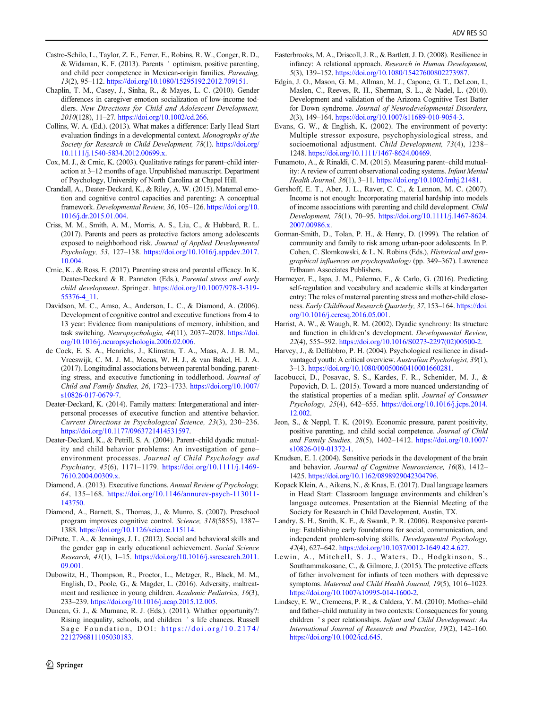- <span id="page-11-0"></span>Castro-Schilo, L., Taylor, Z. E., Ferrer, E., Robins, R. W., Conger, R. D., & Widaman, K. F. (2013). Parents ' optimism, positive parenting, and child peer competence in Mexican-origin families. Parenting, 13(2), 95–112. [https://doi.org/10.1080/15295192.2012.709151.](https://doi.org/10.1080/15295192.2012.709151)
- Chaplin, T. M., Casey, J., Sinha, R., & Mayes, L. C. (2010). Gender differences in caregiver emotion socialization of low-income toddlers. New Directions for Child and Adolescent Development, 2010(128), 11–27. [https://doi.org/10.1002/cd.266.](https://doi.org/10.1002/cd.266)
- Collins, W. A. (Ed.). (2013). What makes a difference: Early Head Start evaluation findings in a developmental context. Monographs of the Society for Research in Child Development, 78(1). [https://doi.org/](https://doi.org/10.1111/j.1540-5834.2012.00699.x) [10.1111/j.1540-5834.2012.00699.x](https://doi.org/10.1111/j.1540-5834.2012.00699.x).
- Cox, M. J., & Crnic, K. (2003). Qualitative ratings for parent–child interaction at 3–12 months of age. Unpublished manuscript. Department of Psychology, University of North Carolina at Chapel Hill.
- Crandall, A., Deater-Deckard, K., & Riley, A. W. (2015). Maternal emotion and cognitive control capacities and parenting: A conceptual framework. Developmental Review, 36, 105–126. [https://doi.org/10.](https://doi.org/10.1016/j.dr.2015.01.004) [1016/j.dr.2015.01.004.](https://doi.org/10.1016/j.dr.2015.01.004)
- Criss, M. M., Smith, A. M., Morris, A. S., Liu, C., & Hubbard, R. L. (2017). Parents and peers as protective factors among adolescents exposed to neighborhood risk. Journal of Applied Developmental Psychology, 53, 127–138. [https://doi.org/10.1016/j.appdev.2017.](https://doi.org/10.1016/j.appdev.2017.10.004) [10.004.](https://doi.org/10.1016/j.appdev.2017.10.004)
- Crnic, K., & Ross, E. (2017). Parenting stress and parental efficacy. In K. Deater-Deckard & R. Panneton (Eds.), Parental stress and early child development. Springer. [https://doi.org/10.1007/978-3-319-](https://doi.org/10.1007/978-3-319-55376-4_11) [55376-4\\_11.](https://doi.org/10.1007/978-3-319-55376-4_11)
- Davidson, M. C., Amso, A., Anderson, L. C., & Diamond, A. (2006). Development of cognitive control and executive functions from 4 to 13 year: Evidence from manipulations of memory, inhibition, and task switching. Neuropsychologia, 44(11), 2037–2078. [https://doi.](https://doi.org/10.1016/j.neuropsychologia.2006.02.006) [org/10.1016/j.neuropsychologia.2006.02.006.](https://doi.org/10.1016/j.neuropsychologia.2006.02.006)
- de Cock, E. S. A., Henrichs, J., Klimstra, T. A., Maas, A. J. B. M., Vreeswijk, C. M. J. M., Meeus, W. H. J., & van Bakel, H. J. A. (2017). Longitudinal associations between parental bonding, parenting stress, and executive functioning in toddlerhood. Journal of Child and Family Studies, 26, 1723–1733. [https://doi.org/10.1007/](https://doi.org/10.1007/s10826-017-0679-7) [s10826-017-0679-7.](https://doi.org/10.1007/s10826-017-0679-7)
- Deater-Deckard, K. (2014). Family matters: Intergenerational and interpersonal processes of executive function and attentive behavior. Current Directions in Psychological Science, 23(3), 230–236. <https://doi.org/10.1177/0963721414531597>.
- Deater-Deckard, K., & Petrill, S. A. (2004). Parent–child dyadic mutuality and child behavior problems: An investigation of gene– environment processes. Journal of Child Psychology and Psychiatry, 45(6), 1171–1179. [https://doi.org/10.1111/j.1469-](https://doi.org/10.1111/j.1469-7610.2004.00309.x) [7610.2004.00309.x.](https://doi.org/10.1111/j.1469-7610.2004.00309.x)
- Diamond, A. (2013). Executive functions. Annual Review of Psychology, 64, 135–168. [https://doi.org/10.1146/annurev-psych-113011-](https://doi.org/10.1146/annurev-psych-113011-143750) [143750.](https://doi.org/10.1146/annurev-psych-113011-143750)
- Diamond, A., Barnett, S., Thomas, J., & Munro, S. (2007). Preschool program improves cognitive control. Science, 318(5855), 1387– 1388. [https://doi.org/10.1126/science.115114.](https://doi.org/10.1126/science.115114)
- DiPrete, T. A., & Jennings, J. L. (2012). Social and behavioral skills and the gender gap in early educational achievement. Social Science Research, 41(1), 1–15. [https://doi.org/10.1016/j.ssresearch.2011.](https://doi.org/10.1016/j.ssresearch.2011.09.001) [09.001.](https://doi.org/10.1016/j.ssresearch.2011.09.001)
- Dubowitz, H., Thompson, R., Proctor, L., Metzger, R., Black, M. M., English, D., Poole, G., & Magder, L. (2016). Adversity, maltreatment and resilience in young children. Academic Pediatrics, 16(3), 233–239. [https://doi.org/10.1016/j.acap.2015.12.005.](https://doi.org/10.1016/j.acap.2015.12.005)
- Duncan, G. J., & Murnane, R. J. (Eds.). (2011). Whither opportunity?: Rising inequality, schools, and children ' s life chances. Russell Sage Foundation, DOI: [https://doi.org/10.2174/](https://doi.org/10.2174/2212796811105030183) [2212796811105030183.](https://doi.org/10.2174/2212796811105030183)
- Easterbrooks, M. A., Driscoll, J. R., & Bartlett, J. D. (2008). Resilience in infancy: A relational approach. Research in Human Development, 5(3), 139–152. [https://doi.org/10.1080/15427600802273987.](https://doi.org/10.1080/15427600802273987)
- Edgin, J. O., Mason, G. M., Allman, M. J., Capone, G. T., DeLeon, I., Maslen, C., Reeves, R. H., Sherman, S. L., & Nadel, L. (2010). Development and validation of the Arizona Cognitive Test Batter for Down syndrome. Journal of Neurodevelopmental Disorders, 2(3), 149–164. <https://doi.org/10.1007/s11689-010-9054-3>.
- Evans, G. W., & English, K. (2002). The environment of poverty: Multiple stressor exposure, psychophysiological stress, and socioemotional adjustment. Child Development, 73(4), 1238– 1248. <https://doi.org/10.1111/1467-8624.00469>.
- Funamoto, A., & Rinaldi, C. M. (2015). Measuring parent–child mutuality: A review of current observational coding systems. Infant Mental Health Journal, 36(1), 3–11. [https://doi.org/10.1002/imhj.21481.](https://doi.org/10.1002/imhj.21481)
- Gershoff, E. T., Aber, J. L., Raver, C. C., & Lennon, M. C. (2007). Income is not enough: Incorporating material hardship into models of income associations with parenting and child development. Child Development, 78(1), 70–95. [https://doi.org/10.1111/j.1467-8624.](https://doi.org/10.1111/j.1467-8624.2007.00986.x) [2007.00986.x](https://doi.org/10.1111/j.1467-8624.2007.00986.x).
- Gorman-Smith, D., Tolan, P. H., & Henry, D. (1999). The relation of community and family to risk among urban-poor adolescents. In P. Cohen, C. Slomkowski, & L. N. Robins (Eds.), Historical and geographical influences on psychopathology (pp. 349–367). Lawrence Erlbaum Associates Publishers.
- Harmeyer, E., Ispa, J. M., Palermo, F., & Carlo, G. (2016). Predicting self-regulation and vocabulary and academic skills at kindergarten entry: The roles of maternal parenting stress and mother-child closeness. Early Childhood Research Quarterly, 37, 153-164. [https://doi.](https://doi.org/10.1016/j.ecresq.2016.05.001) [org/10.1016/j.ecresq.2016.05.001](https://doi.org/10.1016/j.ecresq.2016.05.001).
- Harrist, A. W., & Waugh, R. M. (2002). Dyadic synchrony: Its structure and function in children's development. Developmental Review, 22(4), 555–592. [https://doi.org/10.1016/S0273-2297\(02\)00500-2.](https://doi.org/10.1016/S0273-2297(02)00500-2)
- Harvey, J., & Delfabbro, P. H. (2004). Psychological resilience in disadvantaged youth: A critical overview. Australian Psychologist, 39(1), 3–13. [https://doi.org/10.1080/00050060410001660281.](https://doi.org/10.1080/00050060410001660281)
- Iacobucci, D., Posavac, S. S., Kardes, F. R., Schenider, M. J., & Popovich, D. L. (2015). Toward a more nuanced understanding of the statistical properties of a median split. Journal of Consumer Psychology, 25(4), 642–655. [https://doi.org/10.1016/j.jcps.2014.](https://doi.org/10.1016/j.jcps.2014.12.002) [12.002.](https://doi.org/10.1016/j.jcps.2014.12.002)
- Jeon, S., & Neppl, T. K. (2019). Economic pressure, parent positivity, positive parenting, and child social competence. Journal of Child and Family Studies, 28(5), 1402–1412. [https://doi.org/10.1007/](https://doi.org/10.1007/s10826-019-01372-1) [s10826-019-01372-1](https://doi.org/10.1007/s10826-019-01372-1).
- Knudsen, E. I. (2004). Sensitive periods in the development of the brain and behavior. Journal of Cognitive Neuroscience, 16(8), 1412– 1425. <https://doi.org/10.1162/0898929042304796>.
- Kopack Klein, A., Aikens, N., & Knas, E. (2017). Dual language learners in Head Start: Classroom language environments and children's language outcomes. Presentation at the Biennial Meeting of the Society for Research in Child Development, Austin, TX.
- Landry, S. H., Smith, K. E., & Swank, P. R. (2006). Responsive parenting: Establishing early foundations for social, communication, and independent problem-solving skills. Developmental Psychology, 42(4), 627–642. [https://doi.org/10.1037/0012-1649.42.4.627.](https://doi.org/10.1037/0012-1649.42.4.627)
- Lewin, A., Mitchell, S. J., Waters, D., Hodgkinson, S., Southammakosane, C., & Gilmore, J. (2015). The protective effects of father involvement for infants of teen mothers with depressive symptoms. Maternal and Child Health Journal, 19(5), 1016–1023. [https://doi.org/10.1007/s10995-014-1600-2.](https://doi.org/10.1007/s10995-014-1600-2)
- Lindsey, E. W., Cremeens, P. R., & Caldera, Y. M. (2010). Mother–child and father–child mutuality in two contexts: Consequences for young children ' s peer relationships. Infant and Child Development: An International Journal of Research and Practice, 19(2), 142–160. <https://doi.org/10.1002/icd.645>.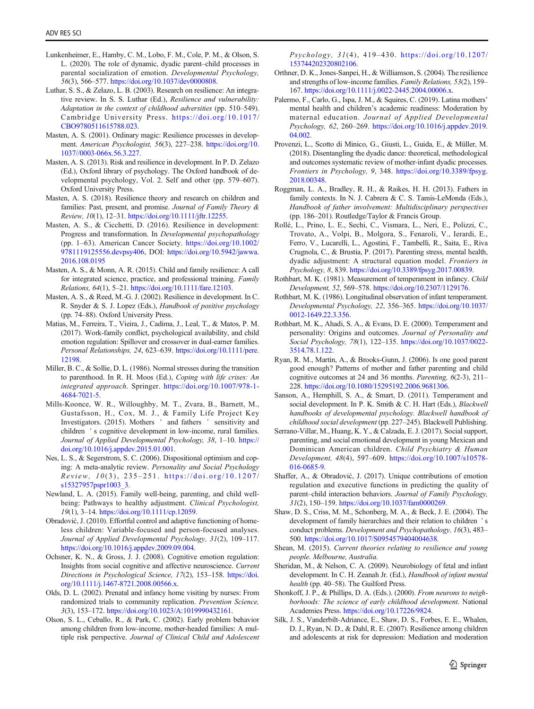- <span id="page-12-0"></span>Lunkenheimer, E., Hamby, C. M., Lobo, F. M., Cole, P. M., & Olson, S. L. (2020). The role of dynamic, dyadic parent–child processes in parental socialization of emotion. Developmental Psychology, 56(3), 566–577. <https://doi.org/10.1037/dev0000808>.
- Luthar, S. S., & Zelazo, L. B. (2003). Research on resilience: An integrative review. In S. S. Luthar (Ed.), Resilience and vulnerability: Adaptation in the context of childhood adversities (pp. 510–549). Cambridge University Press. [https://doi.org/10.1017/](https://doi.org/10.1017/CBO9780511615788.023) [CBO9780511615788.023](https://doi.org/10.1017/CBO9780511615788.023).
- Masten, A. S. (2001). Ordinary magic: Resilience processes in development. American Psychologist, 56(3), 227–238. [https://doi.org/10.](https://doi.org/10.1037//0003-066x.56.3.227) [1037//0003-066x.56.3.227](https://doi.org/10.1037//0003-066x.56.3.227).
- Masten, A. S. (2013). Risk and resilience in development. In P. D. Zelazo (Ed.), Oxford library of psychology. The Oxford handbook of developmental psychology, Vol. 2. Self and other (pp. 579–607). Oxford University Press.
- Masten, A. S. (2018). Resilience theory and research on children and families: Past, present, and promise. Journal of Family Theory & Review, 10(1), 12–31. <https://doi.org/10.1111/jftr.12255>.
- Masten, A. S., & Cicchetti, D. (2016). Resilience in development: Progress and transformation. In Developmental psychopathology (pp. 1–63). American Cancer Society. [https://doi.org/10.1002/](https://doi.org/10.1002/9781119125556.devpsy406) [9781119125556.devpsy406](https://doi.org/10.1002/9781119125556.devpsy406), DOI: [https://doi.org/10.5942/jawwa.](https://doi.org/10.5942/jawwa.2016.108.0195) [2016.108.0195](https://doi.org/10.5942/jawwa.2016.108.0195)
- Masten, A. S., & Monn, A. R. (2015). Child and family resilience: A call for integrated science, practice, and professional training. Family Relations, 64(1), 5–21. <https://doi.org/10.1111/fare.12103>.
- Masten, A. S., & Reed, M.-G. J. (2002). Resilience in development. In C. R. Snyder & S. J. Lopez (Eds.), Handbook of positive psychology (pp. 74–88). Oxford University Press.
- Matias, M., Ferreira, T., Vieira, J., Cadima, J., Leal, T., & Matos, P. M. (2017). Work-family conflict, psychological availability, and child emotion regulation: Spillover and crossover in dual-earner families. Personal Relationships, 24, 623–639. [https://doi.org/10.1111/pere.](https://doi.org/10.1111/pere.12198) [12198.](https://doi.org/10.1111/pere.12198)
- Miller, B. C., & Sollie, D. L. (1986). Normal stresses during the transition to parenthood. In R. H. Moos (Ed.), Coping with life crises: An integrated approach. Springer. [https://doi.org/10.1007/978-1-](https://doi.org/10.1007/978-1-4684-7021-5) [4684-7021-5](https://doi.org/10.1007/978-1-4684-7021-5).
- Mills-Koonce, W. R., Willoughby, M. T., Zvara, B., Barnett, M., Gustafsson, H., Cox, M. J., & Family Life Project Key Investigators. (2015). Mothers ' and fathers ' sensitivity and children ' s cognitive development in low-income, rural families. Journal of Applied Developmental Psychology, 38, 1-10. [https://](https://doi.org/10.1016/j.appdev.2015.01.001) [doi.org/10.1016/j.appdev.2015.01.001.](https://doi.org/10.1016/j.appdev.2015.01.001)
- Nes, L. S., & Segerstrom, S. C. (2006). Dispositional optimism and coping: A meta-analytic review. Personality and Social Psychology  $Review, 10(3), 235-251.$  [https://doi.org/10.1207/](https://doi.org/10.1207/s15327957pspr1003_3) [s15327957pspr1003\\_3](https://doi.org/10.1207/s15327957pspr1003_3).
- Newland, L. A. (2015). Family well-being, parenting, and child wellbeing: Pathways to healthy adjustment. Clinical Psychologist, 19(1), 3–14. <https://doi.org/10.1111/cp.12059>.
- Obradović, J. (2010). Effortful control and adaptive functioning of homeless children: Variable-focused and person-focused analyses. Journal of Applied Developmental Psychology, 31(2), 109–117. <https://doi.org/10.1016/j.appdev.2009.09.004>.
- Ochsner, K. N., & Gross, J. J. (2008). Cognitive emotion regulation: Insights from social cognitive and affective neuroscience. Current Directions in Psychological Science, 17(2), 153-158. [https://doi.](https://doi.org/10.1111/j.1467-8721.2008.00566.x) [org/10.1111/j.1467-8721.2008.00566.x](https://doi.org/10.1111/j.1467-8721.2008.00566.x).
- Olds, D. L. (2002). Prenatal and infancy home visiting by nurses: From randomized trials to community replication. Prevention Science, 3(3), 153–172. <https://doi.org/10.1023/A:1019990432161>.
- Olson, S. L., Ceballo, R., & Park, C. (2002). Early problem behavior among children from low-income, mother-headed families: A multiple risk perspective. Journal of Clinical Child and Adolescent

Psychology, 31(4), 419–430. [https://doi.org/10.1207/](https://doi.org/10.1207/153744202320802106) [153744202320802106.](https://doi.org/10.1207/153744202320802106)

- Orthner, D. K., Jones-Sanpei, H., & Williamson, S. (2004). The resilience and strengths of low-income families. Family Relations, 53(2), 159– 167. <https://doi.org/10.1111/j.0022-2445.2004.00006.x>.
- Palermo, F., Carlo, G., Ispa, J. M., & Squires, C. (2019). Latina mothers' mental health and children's academic readiness: Moderation by maternal education. Journal of Applied Developmental Psychology, 62, 260–269. [https://doi.org/10.1016/j.appdev.2019.](https://doi.org/10.1016/j.appdev.2019.04.002) 04.002
- Provenzi, L., Scotto di Minico, G., Giusti, L., Guida, E., & Müller, M. (2018). Disentangling the dyadic dance: theoretical, methodological and outcomes systematic review of mother-infant dyadic processes. Frontiers in Psychology, 9, 348. [https://doi.org/10.3389/fpsyg.](https://doi.org/10.3389/fpsyg.2018.00348) [2018.00348](https://doi.org/10.3389/fpsyg.2018.00348).
- Roggman, L. A., Bradley, R. H., & Raikes, H. H. (2013). Fathers in family contexts. In N. J. Cabrera & C. S. Tamis-LeMonda (Eds.), Handbook of father involvement: Multidisciplinary perspectives (pp. 186–201). Routledge/Taylor & Francis Group.
- Rollé, L., Prino, L. E., Sechi, C., Vismara, L., Neri, E., Polizzi, C., Trovato, A., Volpi, B., Molgora, S., Fenaroli, V., Ierardi, E., Ferro, V., Lucarelli, L., Agostini, F., Tambelli, R., Saita, E., Riva Crugnola, C., & Brustia, P. (2017). Parenting stress, mental health, dyadic adjustment: A structural equation model. Frontiers in Psychology, 8, 839. [https://doi.org/10.3389/fpsyg.2017.00839.](https://doi.org/10.3389/fpsyg.2017.00839)
- Rothbart, M. K. (1981). Measurement of temperament in infancy. Child Development, 52, 569–578. <https://doi.org/10.2307/1129176>.
- Rothbart, M. K. (1986). Longitudinal observation of infant temperament. Developmental Psychology, 22, 356–365. [https://doi.org/10.1037/](https://doi.org/10.1037/0012-1649.22.3.356) [0012-1649.22.3.356.](https://doi.org/10.1037/0012-1649.22.3.356)
- Rothbart, M. K., Ahadi, S. A., & Evans, D. E. (2000). Temperament and personality: Origins and outcomes. Journal of Personality and Social Psychology, 78(1), 122–135. [https://doi.org/10.1037/0022-](https://doi.org/10.1037/0022-3514.78.1.122) [3514.78.1.122](https://doi.org/10.1037/0022-3514.78.1.122).
- Ryan, R. M., Martin, A., & Brooks-Gunn, J. (2006). Is one good parent good enough? Patterns of mother and father parenting and child cognitive outcomes at 24 and 36 months. Parenting, 6(2-3), 211– 228. <https://doi.org/10.1080/15295192.2006.9681306>.
- Sanson, A., Hemphill, S. A., & Smart, D. (2011). Temperament and social development. In P. K. Smith & C. H. Hart (Eds.), Blackwell handbooks of developmental psychology. Blackwell handbook of childhood social development (pp. 227–245). Blackwell Publishing.
- Serrano-Villar, M., Huang, K. Y., & Calzada, E. J. (2017). Social support, parenting, and social emotional development in young Mexican and Dominican American children. Child Psychiatry & Human Development, 48(4), 597–609. [https://doi.org/10.1007/s10578-](https://doi.org/10.1007/s10578-016-0685-9) [016-0685-9](https://doi.org/10.1007/s10578-016-0685-9).
- Shaffer, A., & Obradović, J. (2017). Unique contributions of emotion regulation and executive functions in predicting the quality of parent–child interaction behaviors. Journal of Family Psychology, 31(2), 150–159. [https://doi.org/10.1037/fam0000269.](https://doi.org/10.1037/fam0000269)
- Shaw, D. S., Criss, M. M., Schonberg, M. A., & Beck, J. E. (2004). The development of family hierarchies and their relation to children ' s conduct problems. Development and Psychopathology, 16(3), 483– 500. [https://doi.org/10.1017/S0954579404004638.](https://doi.org/10.1017/S0954579404004638)
- Shean, M. (2015). Current theories relating to resilience and young people. Melbourne, Australia.
- Sheridan, M., & Nelson, C. A. (2009). Neurobiology of fetal and infant development. In C. H. Zeanah Jr. (Ed.), Handbook of infant mental health (pp. 40–58). The Guilford Press.
- Shonkoff, J. P., & Phillips, D. A. (Eds.). (2000). From neurons to neighborhoods: The science of early childhood development. National Academies Press. [https://doi.org/10.17226/9824.](https://doi.org/10.17226/9824)
- Silk, J. S., Vanderbilt-Adriance, E., Shaw, D. S., Forbes, E. E., Whalen, D. J., Ryan, N. D., & Dahl, R. E. (2007). Resilience among children and adolescents at risk for depression: Mediation and moderation